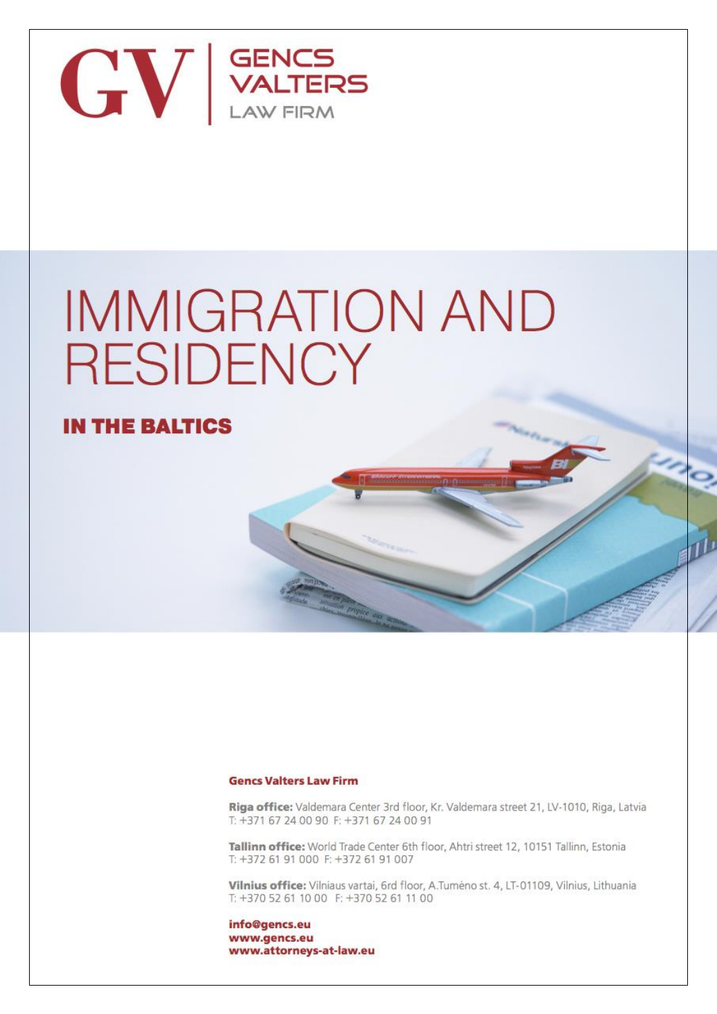

# **IMMIGRATION AND RESIDENCY**

## **IN THE BALTICS**

#### **Gencs Valters Law Firm**

Riga office: Valdemara Center 3rd floor, Kr. Valdemara street 21, LV-1010, Riga, Latvia T: +371 67 24 00 90 F: +371 67 24 00 91

Tallinn office: World Trade Center 6th floor, Ahtri street 12, 10151 Tallinn, Estonia T: +372 61 91 000 F: +372 61 91 007

Vilnius office: Vilniaus vartai, 6rd floor, A.Tumėno st. 4, LT-01109, Vilnius, Lithuania T: +370 52 61 10 00 F: +370 52 61 11 00

info@gencs.eu www.gencs.eu www.attorneys-at-law.eu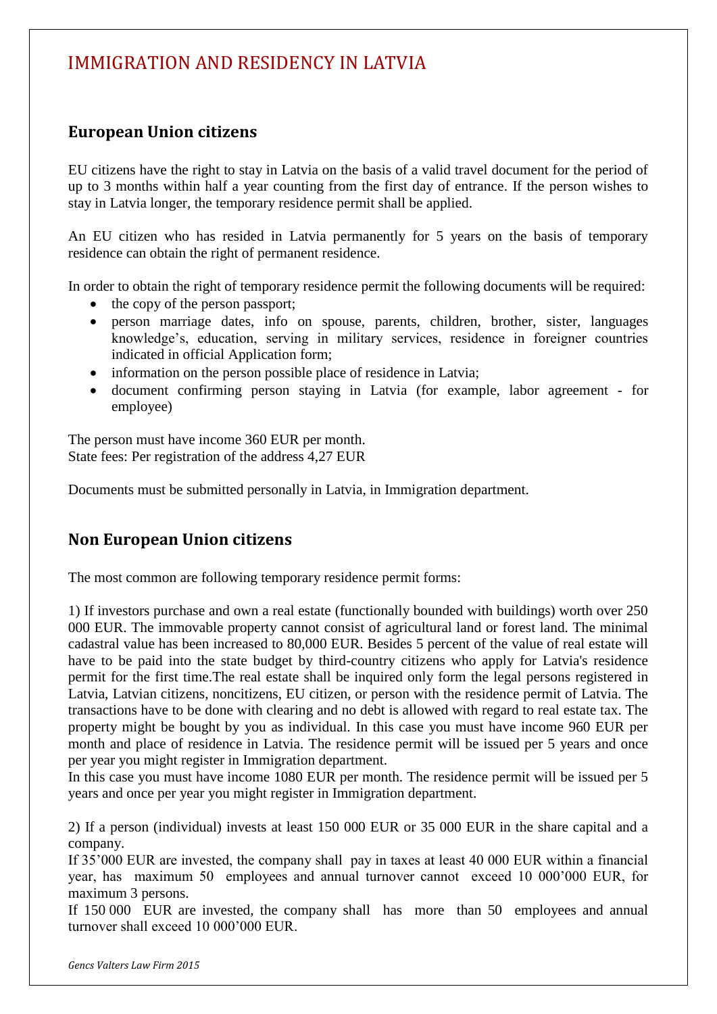# IMMIGRATION AND RESIDENCY IN LATVIA

#### **European Union citizens**

EU citizens have the right to stay in Latvia on the basis of a valid travel document for the period of up to 3 months within half a year counting from the first day of entrance. If the person wishes to stay in Latvia longer, the temporary residence permit shall be applied.

An EU citizen who has resided in Latvia permanently for 5 years on the basis of temporary residence can obtain the right of permanent residence.

In order to obtain the right of temporary residence permit the following documents will be required:

- the copy of the person passport;
- person marriage dates, info on spouse, parents, children, brother, sister, languages knowledge's, education, serving in military services, residence in foreigner countries indicated in official Application form;
- information on the person possible place of residence in Latvia;
- document confirming person staying in Latvia (for example, labor agreement for employee)

The person must have income 360 EUR per month. State fees: Per registration of the address 4,27 EUR

Documents must be submitted personally in Latvia, in Immigration department.

#### **Non European Union citizens**

The most common are following temporary residence permit forms:

1) If investors purchase and own a real estate (functionally bounded with buildings) worth over 250 000 EUR. The immovable property cannot consist of agricultural land or forest land. The minimal cadastral value has been increased to 80,000 EUR. Besides 5 percent of the value of real estate will have to be paid into the state budget by third-country citizens who apply for Latvia's residence permit for the first time.The real estate shall be inquired only form the legal persons registered in Latvia, Latvian citizens, noncitizens, EU citizen, or person with the residence permit of Latvia. The transactions have to be done with clearing and no debt is allowed with regard to real estate tax. The property might be bought by you as individual. In this case you must have income 960 EUR per month and place of residence in Latvia. The residence permit will be issued per 5 years and once per year you might register in Immigration department.

In this case you must have income 1080 EUR per month. The residence permit will be issued per 5 years and once per year you might register in Immigration department.

2) If a person (individual) invests at least 150 000 EUR or 35 000 EUR in the share capital and a company.

If 35'000 EUR are invested, the company shall pay in taxes at least 40 000 EUR within a financial year, has maximum 50 employees and annual turnover cannot exceed 10 000'000 EUR, for maximum 3 persons.

If 150 000 EUR are invested, the company shall has more than 50 employees and annual turnover shall exceed 10 000'000 EUR.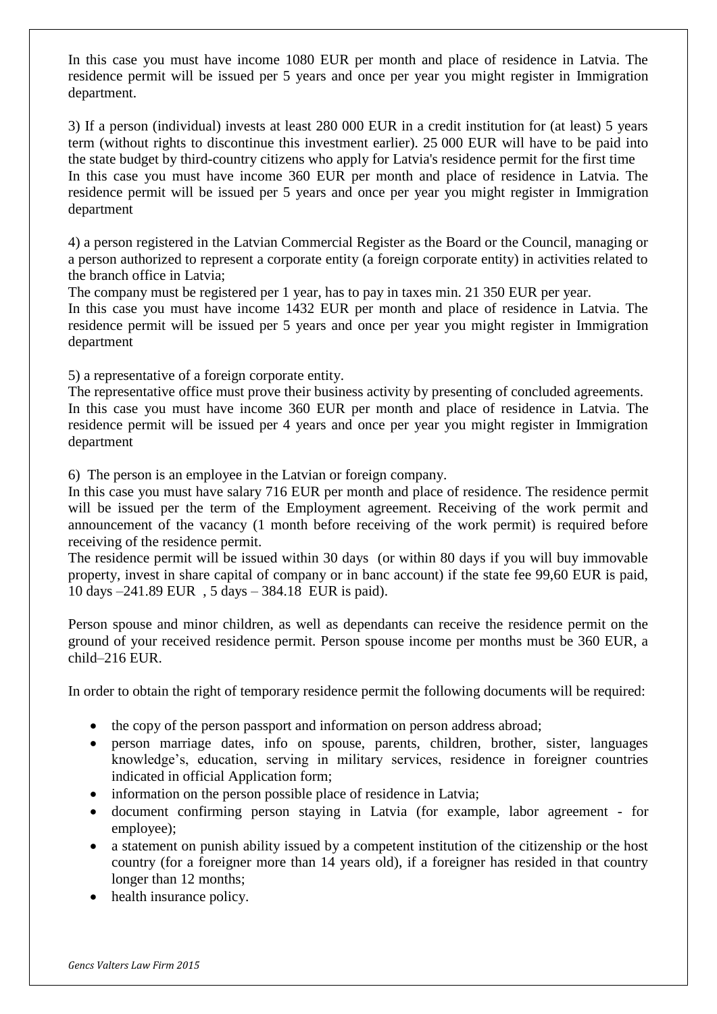In this case you must have income 1080 EUR per month and place of residence in Latvia. The residence permit will be issued per 5 years and once per year you might register in Immigration department.

3) If a person (individual) invests at least 280 000 EUR in a credit institution for (at least) 5 years term (without rights to discontinue this investment earlier). 25 000 EUR will have to be paid into the state budget by third-country citizens who apply for Latvia's residence permit for the first time In this case you must have income 360 EUR per month and place of residence in Latvia. The residence permit will be issued per 5 years and once per year you might register in Immigration department

4) a person registered in the Latvian Commercial Register as the Board or the Council, managing or a person authorized to represent a corporate entity (a foreign corporate entity) in activities related to the branch office in Latvia;

The company must be registered per 1 year, has to pay in taxes min. 21 350 EUR per year.

In this case you must have income 1432 EUR per month and place of residence in Latvia. The residence permit will be issued per 5 years and once per year you might register in Immigration department

5) a representative of a foreign corporate entity.

The representative office must prove their business activity by presenting of concluded agreements. In this case you must have income 360 EUR per month and place of residence in Latvia. The residence permit will be issued per 4 years and once per year you might register in Immigration department

6) The person is an employee in the Latvian or foreign company.

In this case you must have salary 716 EUR per month and place of residence. The residence permit will be issued per the term of the Employment agreement. Receiving of the work permit and announcement of the vacancy (1 month before receiving of the work permit) is required before receiving of the residence permit.

The residence permit will be issued within 30 days (or within 80 days if you will buy immovable property, invest in share capital of company or in banc account) if the state fee 99,60 EUR is paid, 10 days –241.89 EUR , 5 days – 384.18 EUR is paid).

Person spouse and minor children, as well as dependants can receive the residence permit on the ground of your received residence permit. Person spouse income per months must be 360 EUR, a child–216 EUR.

In order to obtain the right of temporary residence permit the following documents will be required:

- the copy of the person passport and information on person address abroad;
- person marriage dates, info on spouse, parents, children, brother, sister, languages knowledge's, education, serving in military services, residence in foreigner countries indicated in official Application form;
- information on the person possible place of residence in Latvia;
- document confirming person staying in Latvia (for example, labor agreement for employee);
- a statement on punish ability issued by a competent institution of the citizenship or the host country (for a foreigner more than 14 years old), if a foreigner has resided in that country longer than 12 months;
- health insurance policy.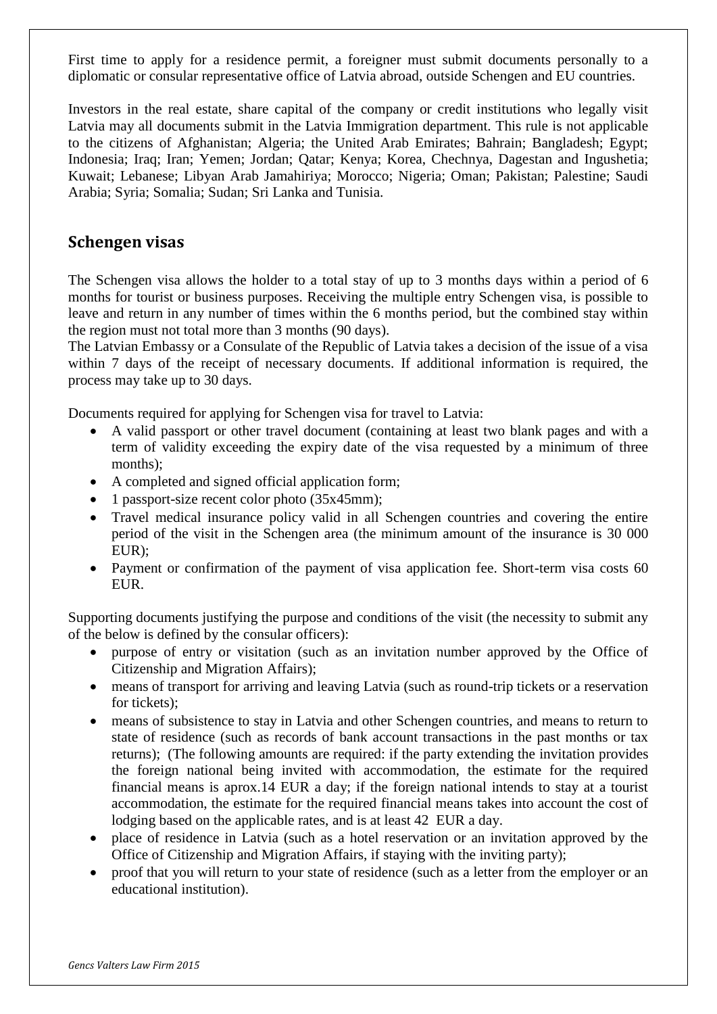First time to apply for a residence permit, a foreigner must submit documents personally to a diplomatic or consular representative office of Latvia abroad, outside Schengen and EU countries.

Investors in the real estate, share capital of the company or credit institutions who legally visit Latvia may all documents submit in the Latvia Immigration department. This rule is not applicable to the citizens of Afghanistan; Algeria; the United Arab Emirates; Bahrain; Bangladesh; Egypt; Indonesia; Iraq; Iran; Yemen; Jordan; Qatar; Kenya; Korea, Chechnya, Dagestan and Ingushetia; Kuwait; Lebanese; Libyan Arab Jamahiriya; Morocco; Nigeria; Oman; Pakistan; Palestine; Saudi Arabia; Syria; Somalia; Sudan; Sri Lanka and Tunisia.

#### **Schengen visas**

The Schengen visa allows the holder to a total stay of up to 3 months days within a period of 6 months for tourist or business purposes. Receiving the multiple entry Schengen visa, is possible to leave and return in any number of times within the 6 months period, but the combined stay within the region must not total more than 3 months (90 days).

The Latvian Embassy or a Consulate of the Republic of Latvia takes a decision of the issue of a visa within 7 days of the receipt of necessary documents. If additional information is required, the process may take up to 30 days.

Documents required for applying for Schengen visa for travel to Latvia:

- A valid passport or other travel document (containing at least two blank pages and with a term of validity exceeding the expiry date of the visa requested by a minimum of three months);
- A completed and signed official application form;
- 1 passport-size recent color photo (35x45mm);
- Travel medical insurance policy valid in all Schengen countries and covering the entire period of the visit in the Schengen area (the minimum amount of the insurance is 30 000 EUR);
- Payment or confirmation of the payment of visa application fee. Short-term visa costs 60 EUR.

Supporting documents justifying the purpose and conditions of the visit (the necessity to submit any of the below is defined by the consular officers):

- purpose of entry or visitation (such as an invitation number approved by the Office of Citizenship and Migration Affairs);
- means of transport for arriving and leaving Latvia (such as round-trip tickets or a reservation for tickets);
- means of subsistence to stay in Latvia and other Schengen countries, and means to return to state of residence (such as records of bank account transactions in the past months or tax returns); (The following amounts are required: if the party extending the invitation provides the foreign national being invited with accommodation, the estimate for the required financial means is aprox.14 EUR a day; if the foreign national intends to stay at a tourist accommodation, the estimate for the required financial means takes into account the cost of lodging based on the applicable rates, and is at least 42 EUR a day.
- place of residence in Latvia (such as a hotel reservation or an invitation approved by the Office of Citizenship and Migration Affairs, if staying with the inviting party);
- proof that you will return to your state of residence (such as a letter from the employer or an educational institution).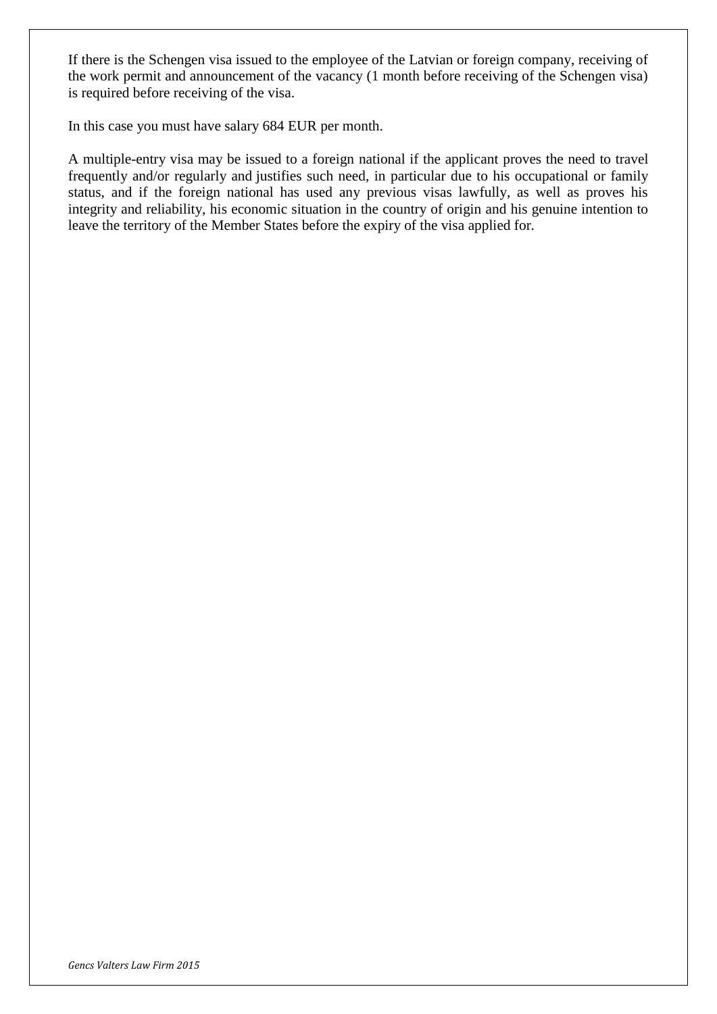If there is the Schengen visa issued to the employee of the Latvian or foreign company, receiving of the work permit and announcement of the vacancy (1 month before receiving of the Schengen visa) is required before receiving of the visa.

In this case you must have salary 684 EUR per month.

A multiple-entry visa may be issued to a foreign national if the applicant proves the need to travel frequently and/or regularly and justifies such need, in particular due to his occupational or family status, and if the foreign national has used any previous visas lawfully, as well as proves his integrity and reliability, his economic situation in the country of origin and his genuine intention to leave the territory of the Member States before the expiry of the visa applied for.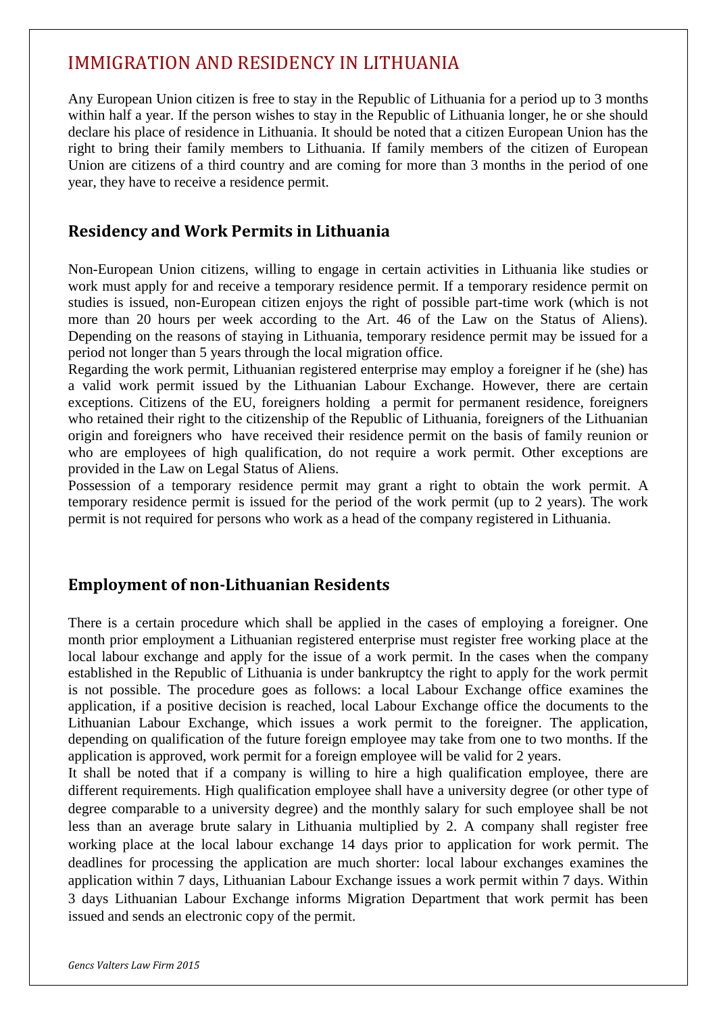## IMMIGRATION AND RESIDENCY IN LITHUANIA

Any European Union citizen is free to stay in the Republic of Lithuania for a period up to 3 months within half a year. If the person wishes to stay in the Republic of Lithuania longer, he or she should declare his place of residence in Lithuania. It should be noted that a citizen European Union has the right to bring their family members to Lithuania. If family members of the citizen of European Union are citizens of a third country and are coming for more than 3 months in the period of one year, they have to receive a residence permit.

## **Residency and Work Permits in Lithuania**

Non-European Union citizens, willing to engage in certain activities in Lithuania like studies or work must apply for and receive a temporary residence permit. If a temporary residence permit on studies is issued, non-European citizen enjoys the right of possible part-time work (which is not more than 20 hours per week according to the Art. 46 of the Law on the Status of Aliens). Depending on the reasons of staying in Lithuania, temporary residence permit may be issued for a period not longer than 5 years through the local migration office.

Regarding the work permit, Lithuanian registered enterprise may employ a foreigner if he (she) has a valid work permit issued by the Lithuanian Labour Exchange. However, there are certain exceptions. Citizens of the EU, foreigners holding a permit for permanent residence, foreigners who retained their right to the citizenship of the Republic of Lithuania, foreigners of the Lithuanian origin and foreigners who have received their residence permit on the basis of family reunion or who are employees of high qualification, do not require a work permit. Other exceptions are provided in the Law on Legal Status of Aliens.

Possession of a temporary residence permit may grant a right to obtain the work permit. A temporary residence permit is issued for the period of the work permit (up to 2 years). The work permit is not required for persons who work as a head of the company registered in Lithuania.

### **Employment of non-Lithuanian Residents**

There is a certain procedure which shall be applied in the cases of employing a foreigner. One month prior employment a Lithuanian registered enterprise must register free working place at the local labour exchange and apply for the issue of a work permit. In the cases when the company established in the Republic of Lithuania is under bankruptcy the right to apply for the work permit is not possible. The procedure goes as follows: a local Labour Exchange office examines the application, if a positive decision is reached, local Labour Exchange office the documents to the Lithuanian Labour Exchange, which issues a work permit to the foreigner. The application, depending on qualification of the future foreign employee may take from one to two months. If the application is approved, work permit for a foreign employee will be valid for 2 years.

It shall be noted that if a company is willing to hire a high qualification employee, there are different requirements. High qualification employee shall have a university degree (or other type of degree comparable to a university degree) and the monthly salary for such employee shall be not less than an average brute salary in Lithuania multiplied by 2. A company shall register free working place at the local labour exchange 14 days prior to application for work permit. The deadlines for processing the application are much shorter: local labour exchanges examines the application within 7 days, Lithuanian Labour Exchange issues a work permit within 7 days. Within 3 days Lithuanian Labour Exchange informs Migration Department that work permit has been issued and sends an electronic copy of the permit.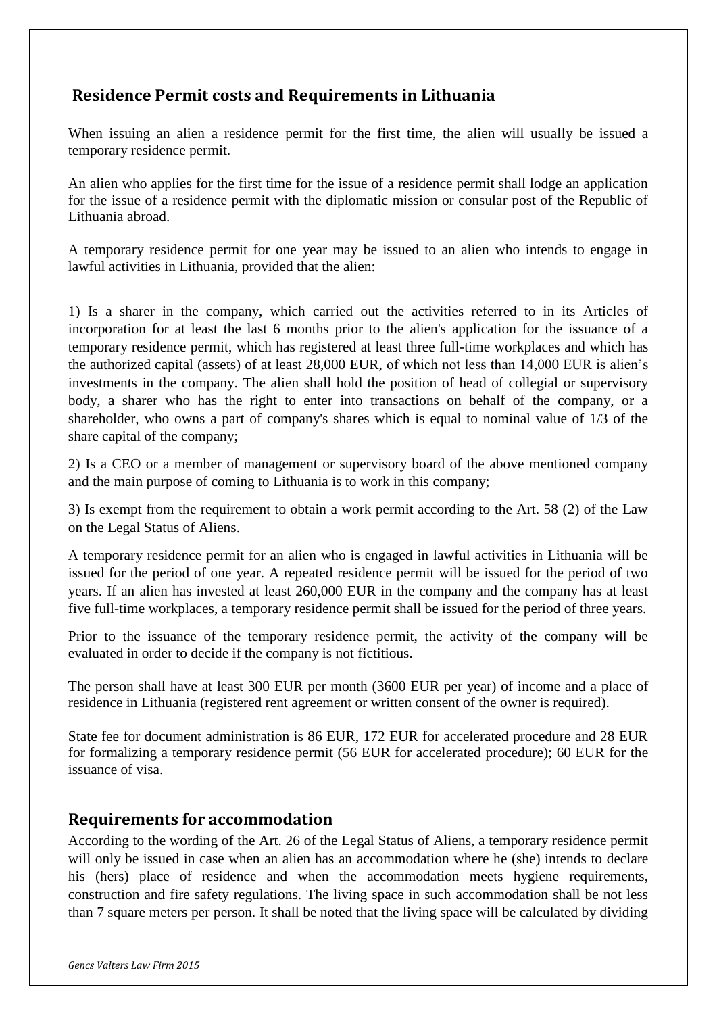## **Residence Permit costs and Requirements in Lithuania**

When issuing an alien a residence permit for the first time, the alien will usually be issued a temporary residence permit.

An alien who applies for the first time for the issue of a residence permit shall lodge an application for the issue of a residence permit with the diplomatic mission or consular post of the Republic of Lithuania abroad.

A temporary residence permit for one year may be issued to an alien who intends to engage in lawful activities in Lithuania, provided that the alien:

1) Is a sharer in the company, which carried out the activities referred to in its Articles of incorporation for at least the last 6 months prior to the alien's application for the issuance of a temporary residence permit, which has registered at least three full-time workplaces and which has the authorized capital (assets) of at least 28,000 EUR, of which not less than 14,000 EUR is alien's investments in the company. The alien shall hold the position of head of collegial or supervisory body, a sharer who has the right to enter into transactions on behalf of the company, or a shareholder, who owns a part of company's shares which is equal to nominal value of 1/3 of the share capital of the company;

2) Is a CEO or a member of management or supervisory board of the above mentioned company and the main purpose of coming to Lithuania is to work in this company;

3) Is exempt from the requirement to obtain a work permit according to the Art. 58 (2) of the Law on the Legal Status of Aliens.

A temporary residence permit for an alien who is engaged in lawful activities in Lithuania will be issued for the period of one year. A repeated residence permit will be issued for the period of two years. If an alien has invested at least 260,000 EUR in the company and the company has at least five full-time workplaces, a temporary residence permit shall be issued for the period of three years.

Prior to the issuance of the temporary residence permit, the activity of the company will be evaluated in order to decide if the company is not fictitious.

The person shall have at least 300 EUR per month (3600 EUR per year) of income and a place of residence in Lithuania (registered rent agreement or written consent of the owner is required).

State fee for document administration is 86 EUR, 172 EUR for accelerated procedure and 28 EUR for formalizing a temporary residence permit (56 EUR for accelerated procedure); 60 EUR for the issuance of visa.

### **Requirements for accommodation**

According to the wording of the Art. 26 of the Legal Status of Aliens, a temporary residence permit will only be issued in case when an alien has an accommodation where he (she) intends to declare his (hers) place of residence and when the accommodation meets hygiene requirements, construction and fire safety regulations. The living space in such accommodation shall be not less than 7 square meters per person. It shall be noted that the living space will be calculated by dividing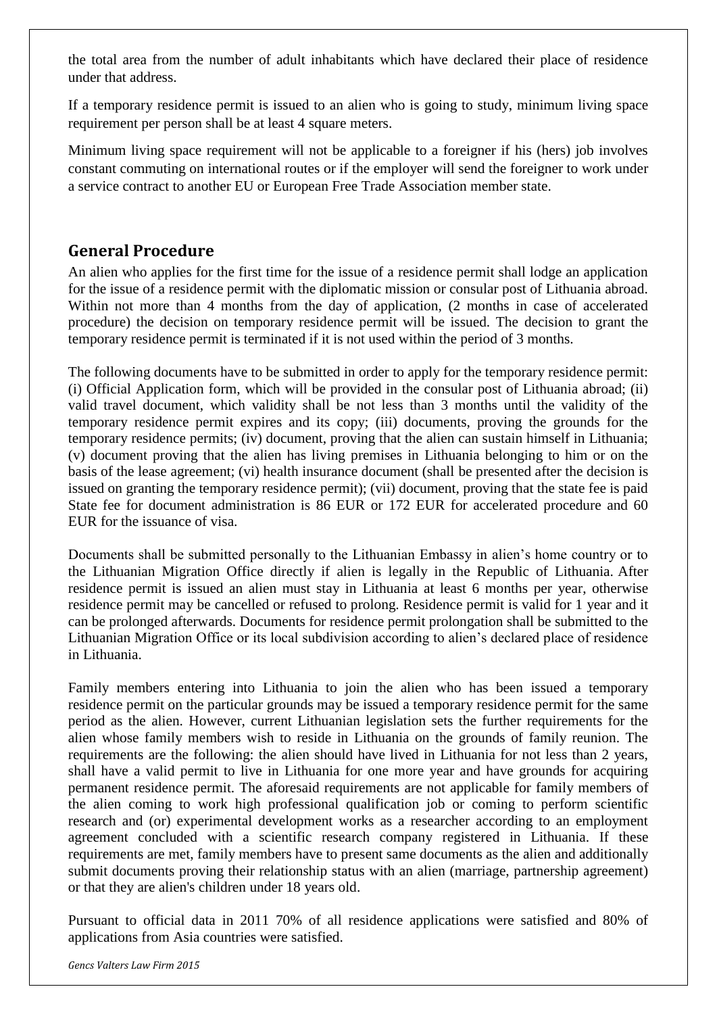the total area from the number of adult inhabitants which have declared their place of residence under that address.

If a temporary residence permit is issued to an alien who is going to study, minimum living space requirement per person shall be at least 4 square meters.

Minimum living space requirement will not be applicable to a foreigner if his (hers) job involves constant commuting on international routes or if the employer will send the foreigner to work under a service contract to another EU or European Free Trade Association member state.

#### **General Procedure**

An alien who applies for the first time for the issue of a residence permit shall lodge an application for the issue of a residence permit with the diplomatic mission or consular post of Lithuania abroad. Within not more than 4 months from the day of application, (2 months in case of accelerated procedure) the decision on temporary residence permit will be issued. The decision to grant the temporary residence permit is terminated if it is not used within the period of 3 months.

The following documents have to be submitted in order to apply for the temporary residence permit: (i) Official Application form, which will be provided in the consular post of Lithuania abroad; (ii) valid travel document, which validity shall be not less than 3 months until the validity of the temporary residence permit expires and its copy; (iii) documents, proving the grounds for the temporary residence permits; (iv) document, proving that the alien can sustain himself in Lithuania; (v) document proving that the alien has living premises in Lithuania belonging to him or on the basis of the lease agreement; (vi) health insurance document (shall be presented after the decision is issued on granting the temporary residence permit); (vii) document, proving that the state fee is paid State fee for document administration is 86 EUR or 172 EUR for accelerated procedure and 60 EUR for the issuance of visa.

Documents shall be submitted personally to the Lithuanian Embassy in alien's home country or to the Lithuanian Migration Office directly if alien is legally in the Republic of Lithuania. After residence permit is issued an alien must stay in Lithuania at least 6 months per year, otherwise residence permit may be cancelled or refused to prolong. Residence permit is valid for 1 year and it can be prolonged afterwards. Documents for residence permit prolongation shall be submitted to the Lithuanian Migration Office or its local subdivision according to alien's declared place of residence in Lithuania.

Family members entering into Lithuania to join the alien who has been issued a temporary residence permit on the particular grounds may be issued a temporary residence permit for the same period as the alien. However, current Lithuanian legislation sets the further requirements for the alien whose family members wish to reside in Lithuania on the grounds of family reunion. The requirements are the following: the alien should have lived in Lithuania for not less than 2 years, shall have a valid permit to live in Lithuania for one more year and have grounds for acquiring permanent residence permit. The aforesaid requirements are not applicable for family members of the alien coming to work high professional qualification job or coming to perform scientific research and (or) experimental development works as a researcher according to an employment agreement concluded with a scientific research company registered in Lithuania. If these requirements are met, family members have to present same documents as the alien and additionally submit documents proving their relationship status with an alien (marriage, partnership agreement) or that they are alien's children under 18 years old.

Pursuant to official data in 2011 70% of all residence applications were satisfied and 80% of applications from Asia countries were satisfied.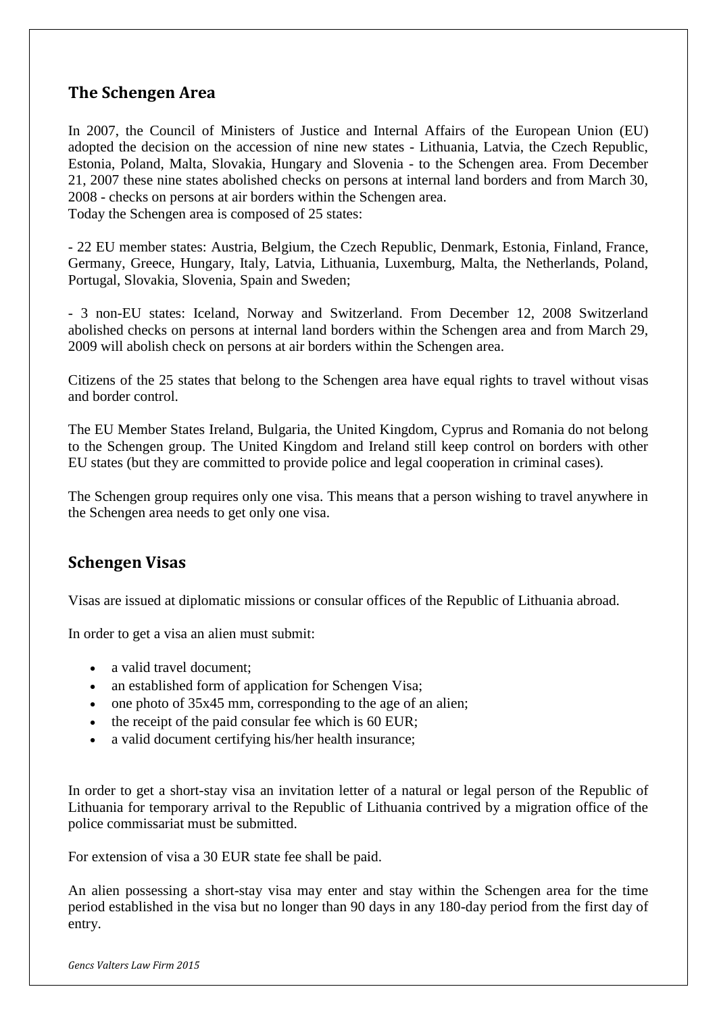#### **The Schengen Area**

In 2007, the Council of Ministers of Justice and Internal Affairs of the European Union (EU) adopted the decision on the accession of nine new states - Lithuania, Latvia, the Czech Republic, Estonia, Poland, Malta, Slovakia, Hungary and Slovenia - to the Schengen area. From December 21, 2007 these nine states abolished checks on persons at internal land borders and from March 30, 2008 - checks on persons at air borders within the Schengen area. Today the Schengen area is composed of 25 states:

- 22 EU member states: Austria, Belgium, the Czech Republic, Denmark, Estonia, Finland, France, Germany, Greece, Hungary, Italy, Latvia, Lithuania, Luxemburg, Malta, the Netherlands, Poland, Portugal, Slovakia, Slovenia, Spain and Sweden;

- 3 non-EU states: Iceland, Norway and Switzerland. From December 12, 2008 Switzerland abolished checks on persons at internal land borders within the Schengen area and from March 29, 2009 will abolish check on persons at air borders within the Schengen area.

Citizens of the 25 states that belong to the Schengen area have equal rights to travel without visas and border control.

The EU Member States Ireland, Bulgaria, the United Kingdom, Cyprus and Romania do not belong to the Schengen group. The United Kingdom and Ireland still keep control on borders with other EU states (but they are committed to provide police and legal cooperation in criminal cases).

The Schengen group requires only one visa. This means that a person wishing to travel anywhere in the Schengen area needs to get only one visa.

#### **Schengen Visas**

Visas are issued at diplomatic missions or consular offices of the Republic of Lithuania abroad.

In order to get a visa an alien must submit:

- a valid travel document:
- an established form of application for Schengen Visa;
- $\bullet$  one photo of 35x45 mm, corresponding to the age of an alien;
- $\bullet$  the receipt of the paid consular fee which is 60 EUR;
- a valid document certifying his/her health insurance;

In order to get a short-stay visa an invitation letter of a natural or legal person of the Republic of Lithuania for temporary arrival to the Republic of Lithuania contrived by a migration office of the police commissariat must be submitted.

For extension of visa a 30 EUR state fee shall be paid.

An alien possessing a short-stay visa may enter and stay within the Schengen area for the time period established in the visa but no longer than 90 days in any 180-day period from the first day of entry.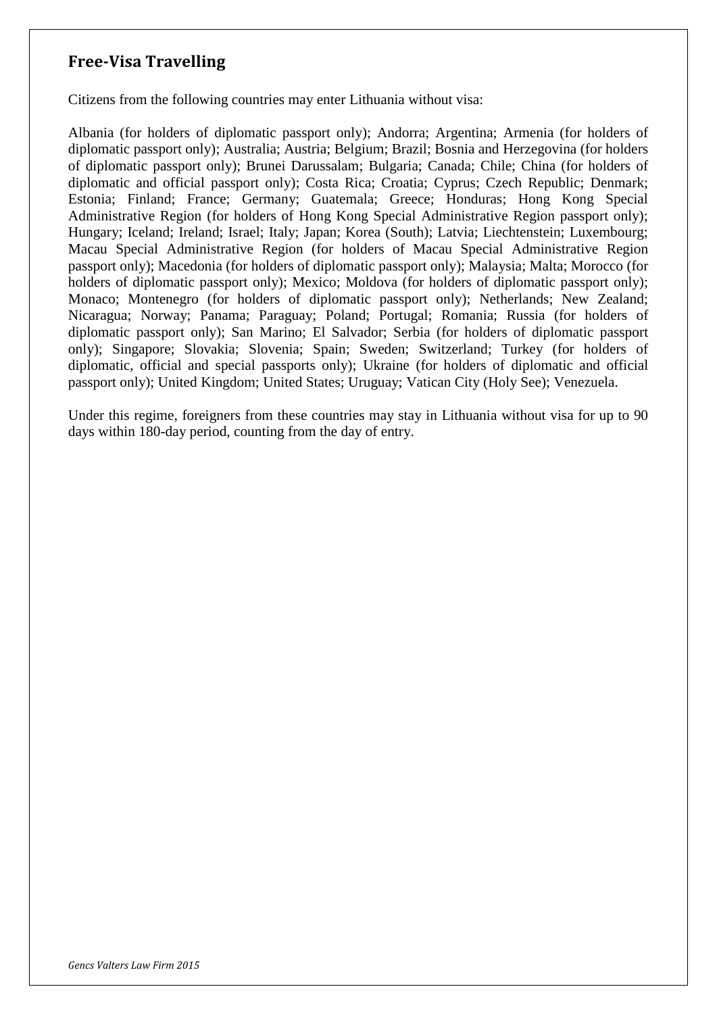## **Free-Visa Travelling**

Citizens from the following countries may enter Lithuania without visa:

Albania (for holders of diplomatic passport only); Andorra; Argentina; Armenia (for holders of diplomatic passport only); Australia; Austria; Belgium; Brazil; Bosnia and Herzegovina (for holders of diplomatic passport only); Brunei Darussalam; Bulgaria; Canada; Chile; China (for holders of diplomatic and official passport only); Costa Rica; Croatia; Cyprus; Czech Republic; Denmark; Estonia; Finland; France; Germany; Guatemala; Greece; Honduras; Hong Kong Special Administrative Region (for holders of Hong Kong Special Administrative Region passport only); Hungary; Iceland; Ireland; Israel; Italy; Japan; Korea (South); Latvia; Liechtenstein; Luxembourg; Macau Special Administrative Region (for holders of Macau Special Administrative Region passport only); Macedonia (for holders of diplomatic passport only); Malaysia; Malta; Morocco (for holders of diplomatic passport only); Mexico; Moldova (for holders of diplomatic passport only); Monaco; Montenegro (for holders of diplomatic passport only); Netherlands; New Zealand; Nicaragua; Norway; Panama; Paraguay; Poland; Portugal; Romania; Russia (for holders of diplomatic passport only); San Marino; El Salvador; Serbia (for holders of diplomatic passport only); Singapore; Slovakia; Slovenia; Spain; Sweden; Switzerland; Turkey (for holders of diplomatic, official and special passports only); Ukraine (for holders of diplomatic and official passport only); United Kingdom; United States; Uruguay; Vatican City (Holy See); Venezuela.

Under this regime, foreigners from these countries may stay in Lithuania without visa for up to 90 days within 180-day period, counting from the day of entry.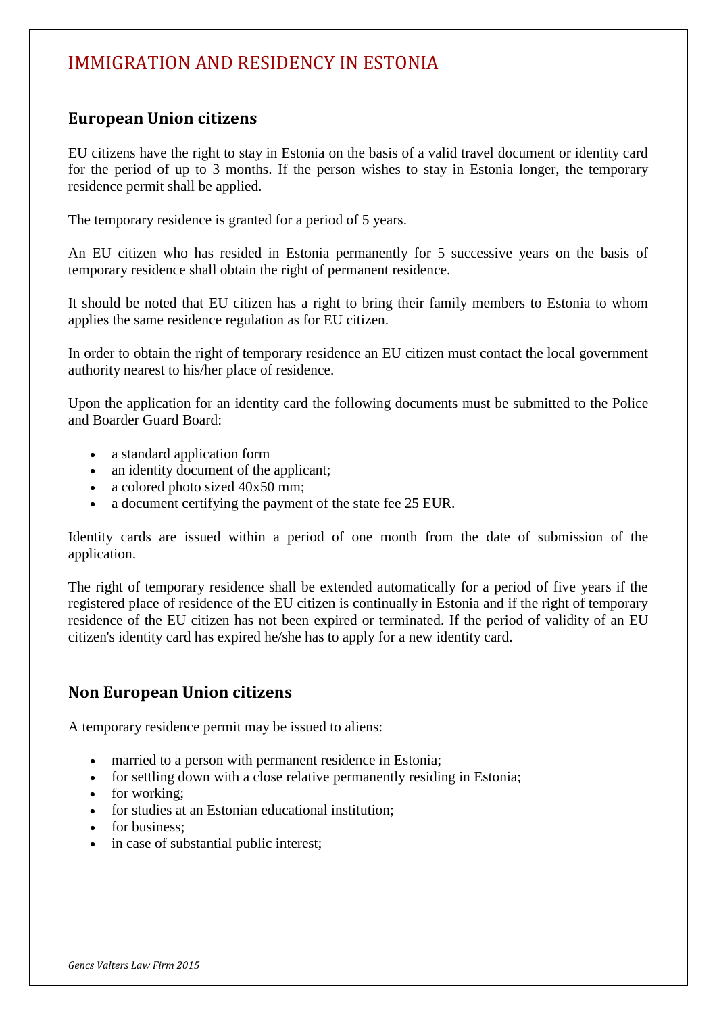## IMMIGRATION AND RESIDENCY IN ESTONIA

### **European Union citizens**

EU citizens have the right to stay in Estonia on the basis of a valid travel document or identity card for the period of up to 3 months. If the person wishes to stay in Estonia longer, the temporary residence permit shall be applied.

The temporary residence is granted for a period of 5 years.

An EU citizen who has resided in Estonia permanently for 5 successive years on the basis of temporary residence shall obtain the right of permanent residence.

It should be noted that EU citizen has a right to bring their family members to Estonia to whom applies the same residence regulation as for EU citizen.

In order to obtain the right of temporary residence an EU citizen must contact the local government authority nearest to his/her place of residence.

Upon the application for an identity card the following documents must be submitted to the Police and Boarder Guard Board:

- a standard application form
- an identity document of the applicant;
- a colored photo sized  $40x50$  mm;
- a document certifying the payment of the state fee 25 EUR.

Identity cards are issued within a period of one month from the date of submission of the application.

The right of temporary residence shall be extended automatically for a period of five years if the registered place of residence of the EU citizen is continually in Estonia and if the right of temporary residence of the EU citizen has not been expired or terminated. If the period of validity of an EU citizen's identity card has expired he/she has to apply for a new identity card.

### **Non European Union citizens**

A temporary residence permit may be issued to aliens:

- married to a person with permanent residence in Estonia;
- for settling down with a close relative permanently residing in Estonia;
- for working:
- for studies at an Estonian educational institution;
- for business:
- in case of substantial public interest;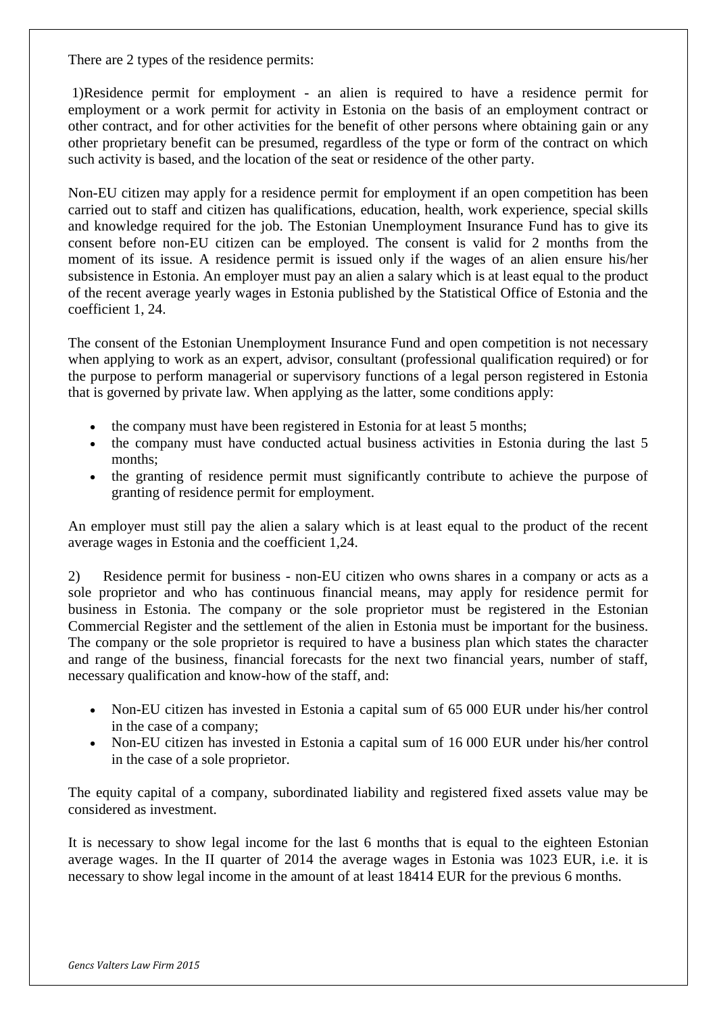There are 2 types of the residence permits:

1)Residence permit for employment - an alien is required to have a residence permit for employment or a work permit for activity in Estonia on the basis of an employment contract or other contract, and for other activities for the benefit of other persons where obtaining gain or any other proprietary benefit can be presumed, regardless of the type or form of the contract on which such activity is based, and the location of the seat or residence of the other party.

Non-EU citizen may apply for a residence permit for employment if an open competition has been carried out to staff and citizen has qualifications, education, health, work experience, special skills and knowledge required for the job. The Estonian Unemployment Insurance Fund has to give its consent before non-EU citizen can be employed. The consent is valid for 2 months from the moment of its issue. A residence permit is issued only if the wages of an alien ensure his/her subsistence in Estonia. An employer must pay an alien a salary which is at least equal to the product of the recent average yearly wages in Estonia published by the Statistical Office of Estonia and the coefficient 1, 24.

The consent of the Estonian Unemployment Insurance Fund and open competition is not necessary when applying to work as an expert, advisor, consultant (professional qualification required) or for the purpose to perform managerial or supervisory functions of a legal person registered in Estonia that is governed by private law. When applying as the latter, some conditions apply:

- the company must have been registered in Estonia for at least 5 months;
- the company must have conducted actual business activities in Estonia during the last 5 months;
- the granting of residence permit must significantly contribute to achieve the purpose of granting of residence permit for employment.

An employer must still pay the alien a salary which is at least equal to the product of the recent average wages in Estonia and the coefficient 1,24.

2) Residence permit for business - non-EU citizen who owns shares in a company or acts as a sole proprietor and who has continuous financial means, may apply for residence permit for business in Estonia. The company or the sole proprietor must be registered in the Estonian Commercial Register and the settlement of the alien in Estonia must be important for the business. The company or the sole proprietor is required to have a business plan which states the character and range of the business, financial forecasts for the next two financial years, number of staff, necessary qualification and know-how of the staff, and:

- Non-EU citizen has invested in Estonia a capital sum of 65 000 EUR under his/her control in the case of a company;
- Non-EU citizen has invested in Estonia a capital sum of 16 000 EUR under his/her control in the case of a sole proprietor.

The equity capital of a company, subordinated liability and registered fixed assets value may be considered as investment.

It is necessary to show legal income for the last 6 months that is equal to the eighteen Estonian average wages. In the II quarter of 2014 the average wages in Estonia was 1023 EUR, i.e. it is necessary to show legal income in the amount of at least 18414 EUR for the previous 6 months.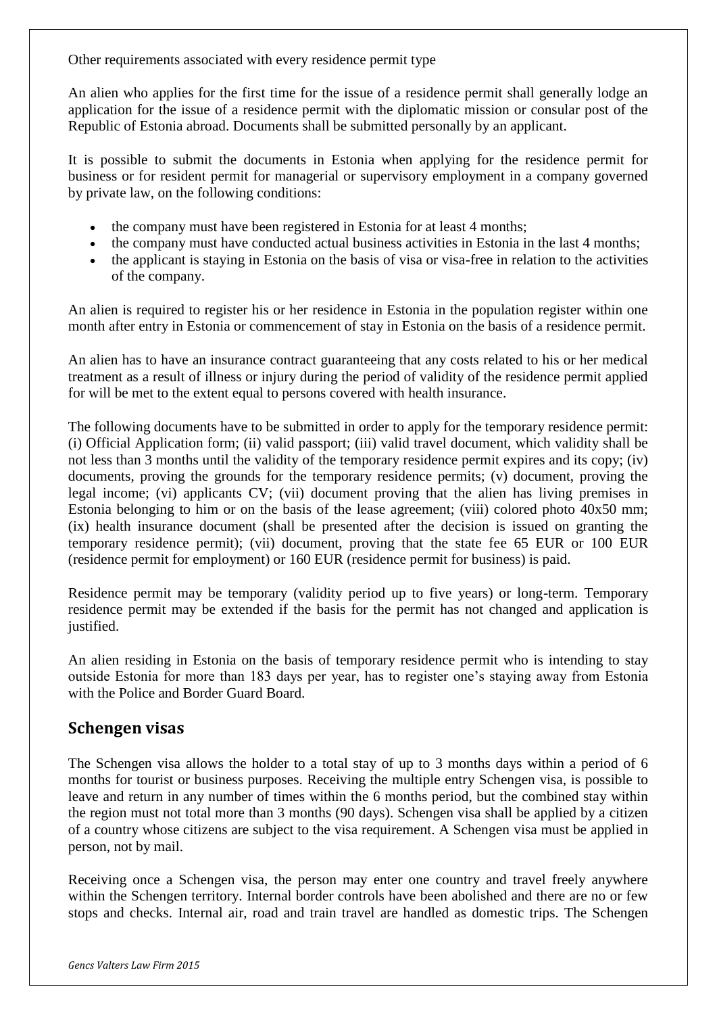Other requirements associated with every residence permit type

An alien who applies for the first time for the issue of a residence permit shall generally lodge an application for the issue of a residence permit with the diplomatic mission or consular post of the Republic of Estonia abroad. Documents shall be submitted personally by an applicant.

It is possible to submit the documents in Estonia when applying for the residence permit for business or for resident permit for managerial or supervisory employment in a company governed by private law, on the following conditions:

- the company must have been registered in Estonia for at least 4 months;
- the company must have conducted actual business activities in Estonia in the last 4 months;
- the applicant is staying in Estonia on the basis of visa or visa-free in relation to the activities of the company.

An alien is required to register his or her residence in Estonia in the population register within one month after entry in Estonia or commencement of stay in Estonia on the basis of a residence permit.

An alien has to have an insurance contract guaranteeing that any costs related to his or her medical treatment as a result of illness or injury during the period of validity of the residence permit applied for will be met to the extent equal to persons covered with health insurance.

The following documents have to be submitted in order to apply for the temporary residence permit: (i) Official Application form; (ii) valid passport; (iii) valid travel document, which validity shall be not less than 3 months until the validity of the temporary residence permit expires and its copy; (iv) documents, proving the grounds for the temporary residence permits; (v) document, proving the legal income; (vi) applicants CV; (vii) document proving that the alien has living premises in Estonia belonging to him or on the basis of the lease agreement; (viii) colored photo 40x50 mm; (ix) health insurance document (shall be presented after the decision is issued on granting the temporary residence permit); (vii) document, proving that the state fee 65 EUR or 100 EUR (residence permit for employment) or 160 EUR (residence permit for business) is paid.

Residence permit may be temporary (validity period up to five years) or long-term. Temporary residence permit may be extended if the basis for the permit has not changed and application is justified.

An alien residing in Estonia on the basis of temporary residence permit who is intending to stay outside Estonia for more than 183 days per year, has to register one's staying away from Estonia with the Police and Border Guard Board.

#### **Schengen visas**

The Schengen visa allows the holder to a total stay of up to 3 months days within a period of 6 months for tourist or business purposes. Receiving the multiple entry Schengen visa, is possible to leave and return in any number of times within the 6 months period, but the combined stay within the region must not total more than 3 months (90 days). Schengen visa shall be applied by a citizen of a country whose citizens are subject to the visa requirement. A Schengen visa must be applied in person, not by mail.

Receiving once a Schengen visa, the person may enter one country and travel freely anywhere within the Schengen territory. Internal border controls have been abolished and there are no or few stops and checks. Internal air, road and train travel are handled as domestic trips. The Schengen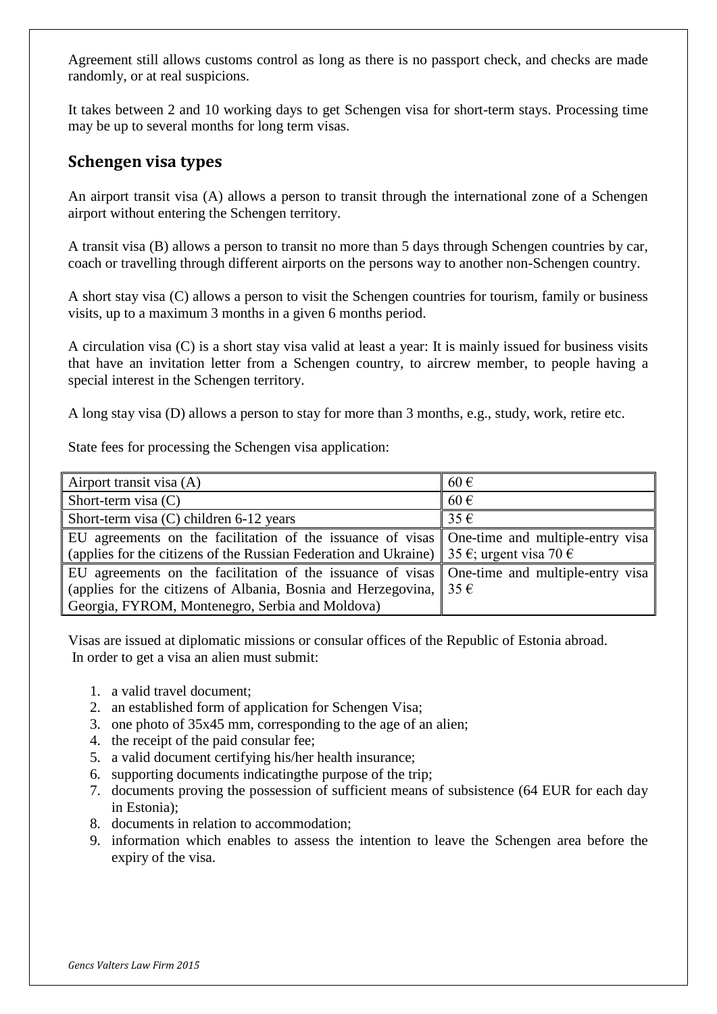Agreement still allows customs control as long as there is no passport check, and checks are made randomly, or at real suspicions.

It takes between 2 and 10 working days to get Schengen visa for short-term stays. Processing time may be up to several months for long term visas.

#### **Schengen visa types**

An airport transit visa (A) allows a person to transit through the international zone of a Schengen airport without entering the Schengen territory.

A transit visa (B) allows a person to transit no more than 5 days through Schengen countries by car, coach or travelling through different airports on the persons way to another non-Schengen country.

A short stay visa (C) allows a person to visit the Schengen countries for tourism, family or business visits, up to a maximum 3 months in a given 6 months period.

A circulation visa (C) is a short stay visa valid at least a year: It is mainly issued for business visits that have an invitation letter from a Schengen country, to aircrew member, to people having a special interest in the Schengen territory.

A long stay visa (D) allows a person to stay for more than 3 months, e.g., study, work, retire etc.

State fees for processing the Schengen visa application:

| Airport transit visa (A)                                                                                     | $60 \in$ |
|--------------------------------------------------------------------------------------------------------------|----------|
| Short-term visa $(C)$                                                                                        | $60 \in$ |
| Short-term visa (C) children 6-12 years                                                                      | $35 \in$ |
| EU agreements on the facilitation of the issuance of visas   One-time and multiple-entry visa                |          |
| (applies for the citizens of the Russian Federation and Ukraine)   35 $\epsilon$ ; urgent visa 70 $\epsilon$ |          |
| EU agreements on the facilitation of the issuance of visas   One-time and multiple-entry visa                |          |
| (applies for the citizens of Albania, Bosnia and Herzegovina, $\vert 35 \hat{\epsilon} \vert$                |          |
| Georgia, FYROM, Montenegro, Serbia and Moldova)                                                              |          |

Visas are issued at diplomatic missions or consular offices of the Republic of Estonia abroad. In order to get a visa an alien must submit:

- 1. a valid travel document;
- 2. an established form of application for Schengen Visa;
- 3. one photo of 35x45 mm, corresponding to the age of an alien;
- 4. the receipt of the paid consular fee;
- 5. a valid document certifying his/her health insurance;
- 6. supporting documents indicatingthe purpose of the trip;
- 7. documents proving the possession of sufficient means of subsistence (64 EUR for each day in Estonia);
- 8. documents in relation to accommodation;
- 9. information which enables to assess the intention to leave the Schengen area before the expiry of the visa.